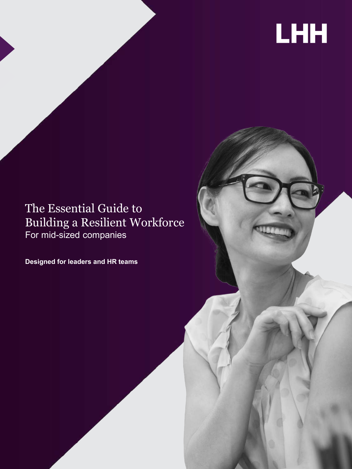# LHH

### The Essential Guide to Building a Resilient Workforce For mid-sized companies

**Designed for leaders and HR teams**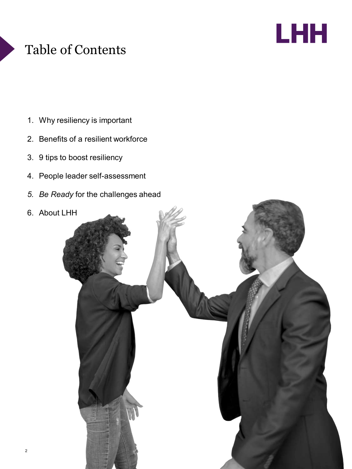## Table of Contents



- 1. Why resiliency is important
- 2. Benefits of a resilient workforce
- 3. 9 tips to boost resiliency
- 4. People leader self-assessment
- *5. Be Ready* for the challenges ahead

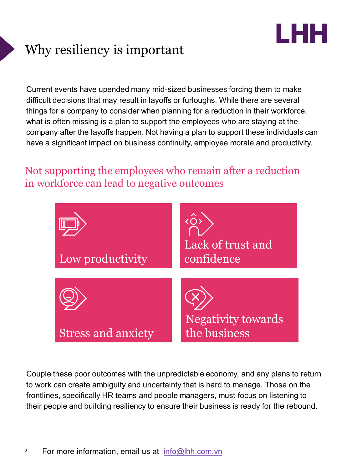

## Why resiliency is important

Current events have upended many mid-sized businesses forcing them to make difficult decisions that may result in layoffs or furloughs. While there are several things for a company to consider when planning for a reduction in their workforce, what is often missing is a plan to support the employees who are staying at the company after the layoffs happen. Not having a plan to support these individuals can have a significant impact on business continuity, employee morale and productivity.

### Not supporting the employees who remain after a reduction in workforce can lead to negative outcomes



Couple these poor outcomes with the unpredictable economy, and any plans to return to work can create ambiguity and uncertainty that is hard to manage. Those on the frontlines, specifically HR teams and people managers, must focus on listening to their people and building resiliency to ensure their business is ready for the rebound.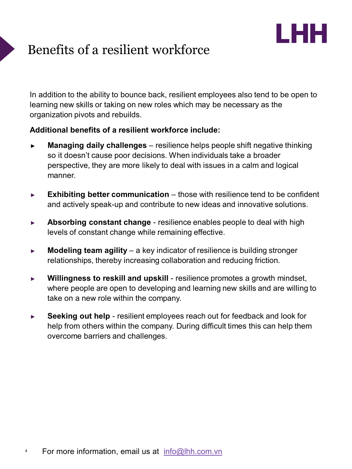# LHH

## Benefits of a resilient workforce

In addition to the ability to bounce back, resilient employees also tend to be open to learning new skills or taking on new roles which may be necessary as the organization pivots and rebuilds.

#### **Additional benefits of a resilient workforce include:**

- ► **Managing daily challenges** resilience helps people shift negative thinking so it doesn't cause poor decisions. When individuals take a broader perspective, they are more likely to deal with issues in a calm and logical manner.
- ► **Exhibiting better communication** those with resilience tend to be confident and actively speak-up and contribute to new ideas and innovative solutions.
- ► **Absorbing constant change** resilience enables people to deal with high levels of constant change while remaining effective.
- ► **Modeling team agility** a key indicator of resilience is building stronger relationships, thereby increasing collaboration and reducing friction.
- ► **Willingness to reskill and upskill** resilience promotes a growth mindset, where people are open to developing and learning new skills and are willing to take on a new role within the company.
- ► **Seeking out help** resilient employees reach out for feedback and look for help from others within the company. During difficult times this can help them overcome barriers and challenges.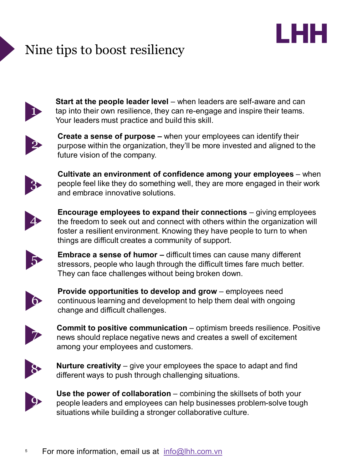## Nine tips to boost resiliency



**Start at the people leader level** – when leaders are self-aware and can tap into their own resilience, they can re-engage and inspire their teams. Your leaders must practice and build this skill.

LHH



**Create a sense of purpose –** when your employees can identify their purpose within the organization, they'll be more invested and aligned to the future vision of the company.



**Cultivate an environment of confidence among your employees** – when people feel like they do something well, they are more engaged in their work and embrace innovative solutions.



**Encourage employees to expand their connections** – giving employees the freedom to seek out and connect with others within the organization will foster a resilient environment. Knowing they have people to turn to when things are difficult creates a community of support.



5 **Embrace <sup>a</sup> sense of humor –** difficult times can cause many different stressors, people who laugh through the difficult times fare much better. They can face challenges without being broken down.



**Provide opportunities to develop and grow** – employees need continuous learning and development to help them deal with ongoing change and difficult challenges.



**Commit to positive communication** – optimism breeds resilience. Positive news should replace negative news and creates a swell of excitement among your employees and customers.



**Nurture creativity** – give your employees the space to adapt and find different ways to push through challenging situations.



**Use the power of collaboration** – combining the skillsets of both your people leaders and employees can help businesses problem-solve tough situations while building a stronger collaborative culture.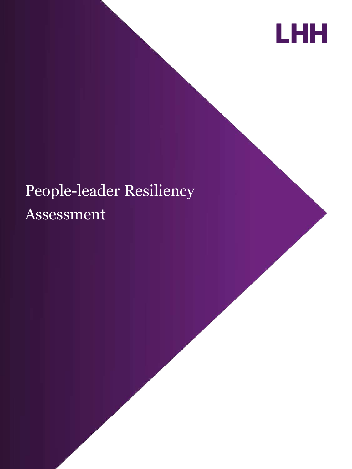

## People-leader Resiliency Assessment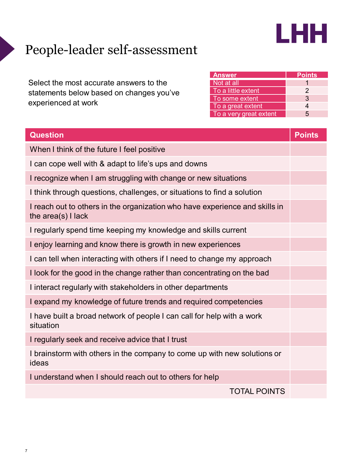

## People-leader self-assessment

Select the most accurate answers to the statements below based on changes you've experienced at work

| <b>Answer</b>          | <b>Points</b> |
|------------------------|---------------|
| Not at all             |               |
| To a little extent     | 2             |
| To some extent         | 3             |
| To a great extent      |               |
| To a very great extent | 5             |

| <b>Question</b>                                                                                     | <b>Points</b> |  |
|-----------------------------------------------------------------------------------------------------|---------------|--|
| When I think of the future I feel positive                                                          |               |  |
| I can cope well with & adapt to life's ups and downs                                                |               |  |
| I recognize when I am struggling with change or new situations                                      |               |  |
| I think through questions, challenges, or situations to find a solution                             |               |  |
| I reach out to others in the organization who have experience and skills in<br>the $area(s)$ I lack |               |  |
| I regularly spend time keeping my knowledge and skills current                                      |               |  |
| I enjoy learning and know there is growth in new experiences                                        |               |  |
| I can tell when interacting with others if I need to change my approach                             |               |  |
| I look for the good in the change rather than concentrating on the bad                              |               |  |
| I interact regularly with stakeholders in other departments                                         |               |  |
| I expand my knowledge of future trends and required competencies                                    |               |  |
| I have built a broad network of people I can call for help with a work<br>situation                 |               |  |
| I regularly seek and receive advice that I trust                                                    |               |  |
| I brainstorm with others in the company to come up with new solutions or<br>ideas                   |               |  |
| I understand when I should reach out to others for help                                             |               |  |
| <b>TOTAL POINTS</b>                                                                                 |               |  |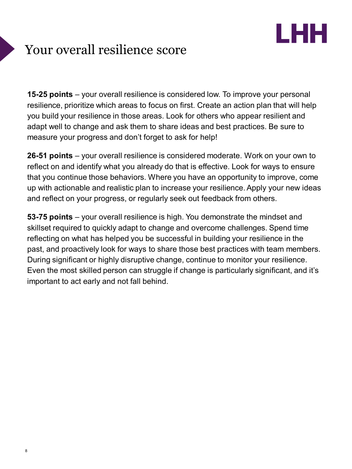# LHH

## Your overall resilience score

**15-25 points** – your overall resilience is considered low. To improve your personal resilience, prioritize which areas to focus on first. Create an action plan that will help you build your resilience in those areas. Look for others who appear resilient and adapt well to change and ask them to share ideas and best practices. Be sure to measure your progress and don't forget to ask for help!

**26-51 points** – your overall resilience is considered moderate. Work on your own to reflect on and identify what you already do that is effective. Look for ways to ensure that you continue those behaviors. Where you have an opportunity to improve, come up with actionable and realistic plan to increase your resilience.Apply your new ideas and reflect on your progress, or regularly seek out feedback from others.

**53-75 points** – your overall resilience is high. You demonstrate the mindset and skillset required to quickly adapt to change and overcome challenges. Spend time reflecting on what has helped you be successful in building your resilience in the past, and proactively look for ways to share those best practices with team members. During significant or highly disruptive change, continue to monitor your resilience. Even the most skilled person can struggle if change is particularly significant, and it's important to act early and not fall behind.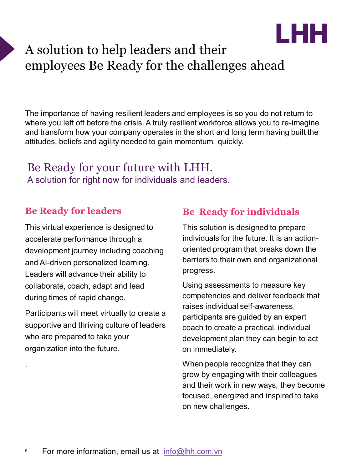

### A solution to help leaders and their employees Be Ready for the challenges ahead

The importance of having resilient leaders and employees is so you do not return to where you left off before the crisis. A truly resilient workforce allows you to re-imagine and transform how your company operates in the short and long term having built the attitudes, beliefs and agility needed to gain momentum, quickly.

### Be Ready for your future with LHH. A solution for right now for individuals and leaders.

### **Be Ready for leaders**

This virtual experience is designed to accelerate performance through a development journey including coaching and AI-driven personalized learning. Leaders will advance their ability to collaborate, coach, adapt and lead during times of rapid change.

Participants will meet virtually to create a supportive and thriving culture of leaders who are prepared to take your organization into the future.

.

### **Be Ready for individuals**

This solution is designed to prepare individuals for the future. It is an actionoriented program that breaks down the barriers to their own and organizational progress.

Using assessments to measure key competencies and deliver feedback that raises individual self-awareness, participants are guided by an expert coach to create a practical, individual development plan they can begin to act on immediately.

When people recognize that they can grow by engaging with their colleagues and their work in new ways, they become focused, energized and inspired to take on new challenges.